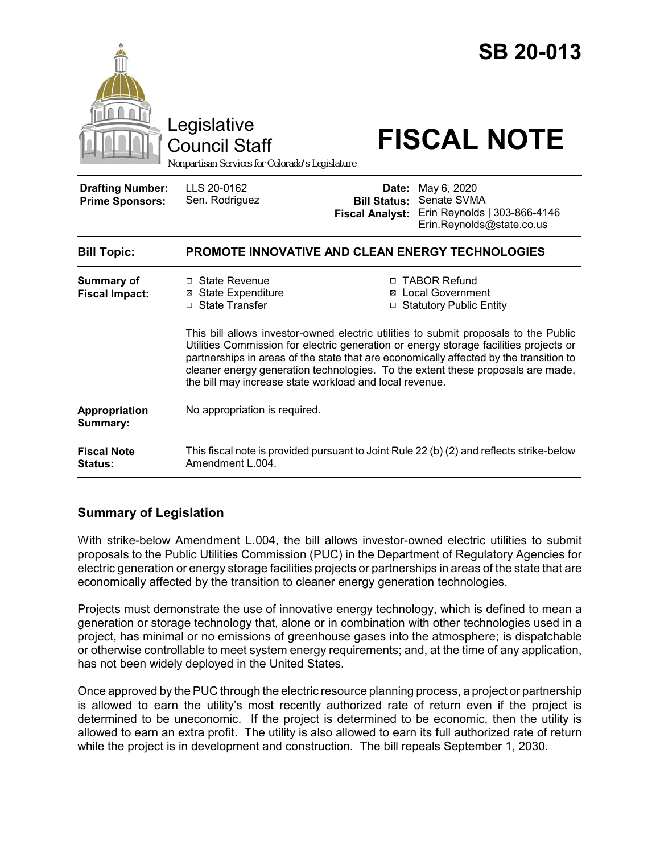

# **Summary of Legislation**

With strike-below Amendment L.004, the bill allows investor-owned electric utilities to submit proposals to the Public Utilities Commission (PUC) in the Department of Regulatory Agencies for electric generation or energy storage facilities projects or partnerships in areas of the state that are economically affected by the transition to cleaner energy generation technologies.

Projects must demonstrate the use of innovative energy technology, which is defined to mean a generation or storage technology that, alone or in combination with other technologies used in a project, has minimal or no emissions of greenhouse gases into the atmosphere; is dispatchable or otherwise controllable to meet system energy requirements; and, at the time of any application, has not been widely deployed in the United States.

Once approved by the PUC through the electric resource planning process, a project or partnership is allowed to earn the utility's most recently authorized rate of return even if the project is determined to be uneconomic. If the project is determined to be economic, then the utility is allowed to earn an extra profit. The utility is also allowed to earn its full authorized rate of return while the project is in development and construction. The bill repeals September 1, 2030.